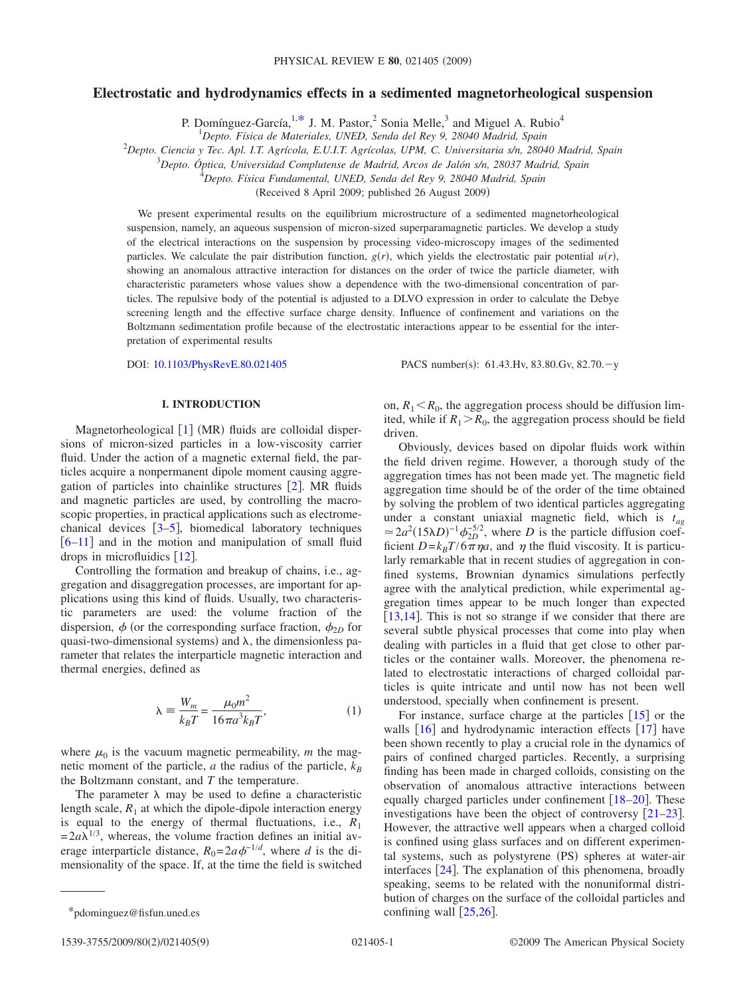# **Electrostatic and hydrodynamics effects in a sedimented magnetorheological suspension**

P. Domínguez-García,  $1, *$  J. M. Pastor,  $2$  Sonia Melle,  $3$  and Miguel A. Rubio<sup>4</sup>

1 *Depto. Física de Materiales, UNED, Senda del Rey 9, 28040 Madrid, Spain*

2 *Depto. Ciencia y Tec. Apl. I.T. Agrícola, E.U.I.T. Agrícolas, UPM, C. Universitaria s/n, 28040 Madrid, Spain*

3 *Depto. Óptica, Universidad Complutense de Madrid, Arcos de Jalón s/n, 28037 Madrid, Spain*

4 *Depto. Física Fundamental, UNED, Senda del Rey 9, 28040 Madrid, Spain*

(Received 8 April 2009; published 26 August 2009)

We present experimental results on the equilibrium microstructure of a sedimented magnetorheological suspension, namely, an aqueous suspension of micron-sized superparamagnetic particles. We develop a study of the electrical interactions on the suspension by processing video-microscopy images of the sedimented particles. We calculate the pair distribution function,  $g(r)$ , which yields the electrostatic pair potential  $u(r)$ , showing an anomalous attractive interaction for distances on the order of twice the particle diameter, with characteristic parameters whose values show a dependence with the two-dimensional concentration of particles. The repulsive body of the potential is adjusted to a DLVO expression in order to calculate the Debye screening length and the effective surface charge density. Influence of confinement and variations on the Boltzmann sedimentation profile because of the electrostatic interactions appear to be essential for the interpretation of experimental results

DOI: [10.1103/PhysRevE.80.021405](http://dx.doi.org/10.1103/PhysRevE.80.021405)

PACS number(s):  $61.43.Hv$ ,  $83.80.Gv$ ,  $82.70.-v$ 

# **I. INTRODUCTION**

Magnetorheological [[1](#page-8-0)] (MR) fluids are colloidal dispersions of micron-sized particles in a low-viscosity carrier fluid. Under the action of a magnetic external field, the particles acquire a nonpermanent dipole moment causing aggregation of particles into chainlike structures  $\lceil 2 \rceil$  $\lceil 2 \rceil$  $\lceil 2 \rceil$ . MR fluids and magnetic particles are used, by controlling the macroscopic properties, in practical applications such as electromechanical devices  $\lceil 3-5 \rceil$  $\lceil 3-5 \rceil$  $\lceil 3-5 \rceil$ , biomedical laboratory techniques  $[6-11]$  $[6-11]$  $[6-11]$  and in the motion and manipulation of small fluid drops in microfluidics  $[12]$  $[12]$  $[12]$ .

Controlling the formation and breakup of chains, i.e., aggregation and disaggregation processes, are important for applications using this kind of fluids. Usually, two characteristic parameters are used: the volume fraction of the dispersion,  $\phi$  (or the corresponding surface fraction,  $\phi_{2D}$  for quasi-two-dimensional systems) and  $\lambda$ , the dimensionless parameter that relates the interparticle magnetic interaction and thermal energies, defined as

$$
\lambda = \frac{W_m}{k_B T} = \frac{\mu_0 m^2}{16\pi a^3 k_B T},\tag{1}
$$

<span id="page-0-1"></span>where  $\mu_0$  is the vacuum magnetic permeability, *m* the magnetic moment of the particle, *a* the radius of the particle,  $k_B$ the Boltzmann constant, and *T* the temperature.

The parameter  $\lambda$  may be used to define a characteristic length scale,  $R_1$  at which the dipole-dipole interaction energy is equal to the energy of thermal fluctuations, i.e.,  $R_1$  $=2a\lambda^{1/3}$ , whereas, the volume fraction defines an initial average interparticle distance,  $R_0 = 2a\phi^{-1/d}$ , where *d* is the dimensionality of the space. If, at the time the field is switched on,  $R_1 \le R_0$ , the aggregation process should be diffusion limited, while if  $R_1 > R_0$ , the aggregation process should be field driven.

Obviously, devices based on dipolar fluids work within the field driven regime. However, a thorough study of the aggregation times has not been made yet. The magnetic field aggregation time should be of the order of the time obtained by solving the problem of two identical particles aggregating under a constant uniaxial magnetic field, which is *tag*  $\approx 2a^2(15\lambda D)^{-1}\phi_{2D}^{-5/2}$ , where *D* is the particle diffusion coefficient  $D = k_B T / 6 \pi \eta a$ , and  $\eta$  the fluid viscosity. It is particularly remarkable that in recent studies of aggregation in confined systems, Brownian dynamics simulations perfectly agree with the analytical prediction, while experimental aggregation times appear to be much longer than expected [ $13,14$  $13,14$ ]. This is not so strange if we consider that there are several subtle physical processes that come into play when dealing with particles in a fluid that get close to other particles or the container walls. Moreover, the phenomena related to electrostatic interactions of charged colloidal particles is quite intricate and until now has not been well understood, specially when confinement is present.

For instance, surface charge at the particles  $[15]$  $[15]$  $[15]$  or the walls  $\begin{bmatrix} 16 \end{bmatrix}$  $\begin{bmatrix} 16 \end{bmatrix}$  $\begin{bmatrix} 16 \end{bmatrix}$  and hydrodynamic interaction effects  $\begin{bmatrix} 17 \end{bmatrix}$  $\begin{bmatrix} 17 \end{bmatrix}$  $\begin{bmatrix} 17 \end{bmatrix}$  have been shown recently to play a crucial role in the dynamics of pairs of confined charged particles. Recently, a surprising finding has been made in charged colloids, consisting on the observation of anomalous attractive interactions between equally charged particles under confinement  $[18–20]$  $[18–20]$  $[18–20]$  $[18–20]$ . These investigations have been the object of controversy  $[21-23]$  $[21-23]$  $[21-23]$ . However, the attractive well appears when a charged colloid is confined using glass surfaces and on different experimental systems, such as polystyrene (PS) spheres at water-air interfaces  $[24]$  $[24]$  $[24]$ . The explanation of this phenomena, broadly speaking, seems to be related with the nonuniformal distribution of charges on the surface of the colloidal particles and

<span id="page-0-0"></span><sup>\*</sup>pdominguez@fisfun.uned.es confining wall  $[25,26]$  $[25,26]$  $[25,26]$  $[25,26]$ .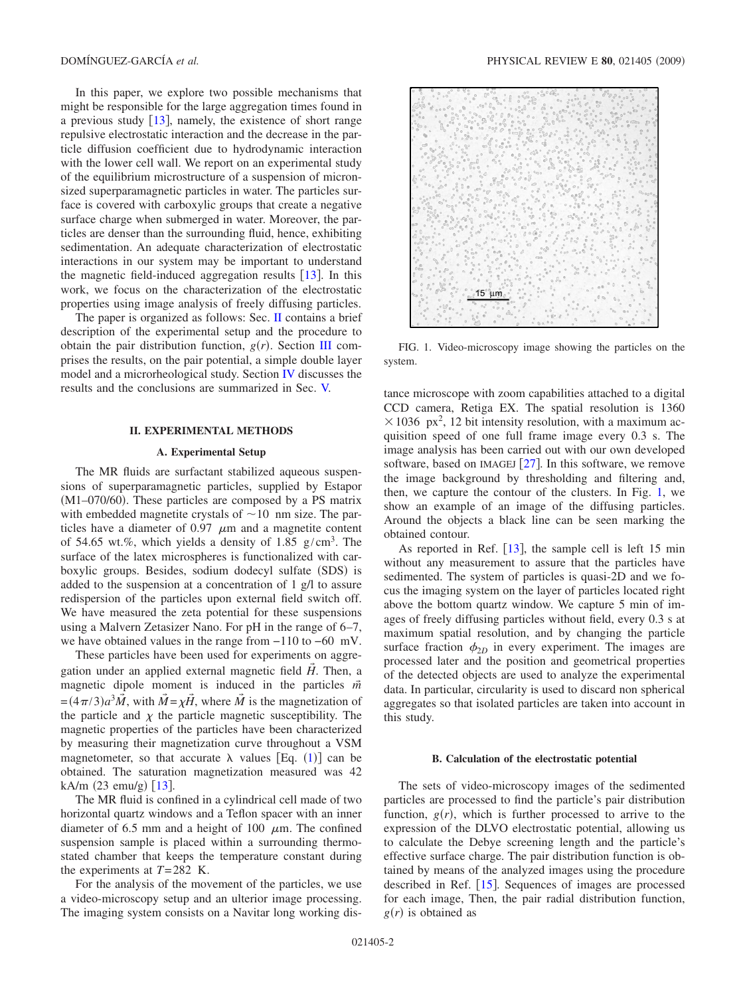In this paper, we explore two possible mechanisms that might be responsible for the large aggregation times found in a previous study  $\left[13\right]$  $\left[13\right]$  $\left[13\right]$ , namely, the existence of short range repulsive electrostatic interaction and the decrease in the particle diffusion coefficient due to hydrodynamic interaction with the lower cell wall. We report on an experimental study of the equilibrium microstructure of a suspension of micronsized superparamagnetic particles in water. The particles surface is covered with carboxylic groups that create a negative surface charge when submerged in water. Moreover, the particles are denser than the surrounding fluid, hence, exhibiting sedimentation. An adequate characterization of electrostatic interactions in our system may be important to understand the magnetic field-induced aggregation results  $[13]$  $[13]$  $[13]$ . In this work, we focus on the characterization of the electrostatic properties using image analysis of freely diffusing particles.

The paper is organized as follows: Sec. [II](#page-1-0) contains a brief description of the experimental setup and the procedure to obtain the pair distribution function,  $g(r)$ . Section [III](#page-2-0) comprises the results, on the pair potential, a simple double layer model and a microrheological study. Section [IV](#page-6-0) discusses the results and the conclusions are summarized in Sec. [V.](#page-7-0)

## **II. EXPERIMENTAL METHODS**

### **A. Experimental Setup**

<span id="page-1-0"></span>The MR fluids are surfactant stabilized aqueous suspensions of superparamagnetic particles, supplied by Estapor (M1-070/60). These particles are composed by a PS matrix with embedded magnetite crystals of  $\sim$ 10 nm size. The particles have a diameter of  $0.97 \mu m$  and a magnetite content of 54.65 wt.%, which yields a density of 1.85  $g/cm<sup>3</sup>$ . The surface of the latex microspheres is functionalized with carboxylic groups. Besides, sodium dodecyl sulfate (SDS) is added to the suspension at a concentration of 1 g/l to assure redispersion of the particles upon external field switch off. We have measured the zeta potential for these suspensions using a Malvern Zetasizer Nano. For pH in the range of 6–7, we have obtained values in the range from −110 to −60 mV.

These particles have been used for experiments on aggregation under an applied external magnetic field  $\tilde{H}$ . Then, a magnetic dipole moment is induced in the particles *m*  $=$   $(4\pi/3)a^3\vec{M}$ , with  $\vec{M} = \chi\vec{H}$ , where  $\vec{M}$  is the magnetization of the particle and  $\chi$  the particle magnetic susceptibility. The magnetic properties of the particles have been characterized by measuring their magnetization curve throughout a VSM magnetometer, so that accurate  $\lambda$  values [Eq. ([1](#page-0-1))] can be obtained. The saturation magnetization measured was 42 kA/m (23 emu/g) [[13](#page-8-7)].

The MR fluid is confined in a cylindrical cell made of two horizontal quartz windows and a Teflon spacer with an inner diameter of 6.5 mm and a height of 100  $\mu$ m. The confined suspension sample is placed within a surrounding thermostated chamber that keeps the temperature constant during the experiments at *T*=282 K.

For the analysis of the movement of the particles, we use a video-microscopy setup and an ulterior image processing. The imaging system consists on a Navitar long working dis-

<span id="page-1-1"></span>

FIG. 1. Video-microscopy image showing the particles on the system.

tance microscope with zoom capabilities attached to a digital CCD camera, Retiga EX. The spatial resolution is 1360  $\times$  1036 px<sup>2</sup>, 12 bit intensity resolution, with a maximum acquisition speed of one full frame image every 0.3 s. The image analysis has been carried out with our own developed software, based on IMAGEJ  $\lceil 27 \rceil$  $\lceil 27 \rceil$  $\lceil 27 \rceil$ . In this software, we remove the image background by thresholding and filtering and, then, we capture the contour of the clusters. In Fig. [1,](#page-1-1) we show an example of an image of the diffusing particles. Around the objects a black line can be seen marking the obtained contour.

As reported in Ref.  $\left[13\right]$  $\left[13\right]$  $\left[13\right]$ , the sample cell is left 15 min without any measurement to assure that the particles have sedimented. The system of particles is quasi-2D and we focus the imaging system on the layer of particles located right above the bottom quartz window. We capture 5 min of images of freely diffusing particles without field, every 0.3 s at maximum spatial resolution, and by changing the particle surface fraction  $\phi_{2D}$  in every experiment. The images are processed later and the position and geometrical properties of the detected objects are used to analyze the experimental data. In particular, circularity is used to discard non spherical aggregates so that isolated particles are taken into account in this study.

### **B. Calculation of the electrostatic potential**

The sets of video-microscopy images of the sedimented particles are processed to find the particle's pair distribution function,  $g(r)$ , which is further processed to arrive to the expression of the DLVO electrostatic potential, allowing us to calculate the Debye screening length and the particle's effective surface charge. The pair distribution function is obtained by means of the analyzed images using the procedure described in Ref.  $[15]$  $[15]$  $[15]$ . Sequences of images are processed for each image, Then, the pair radial distribution function,  $g(r)$  is obtained as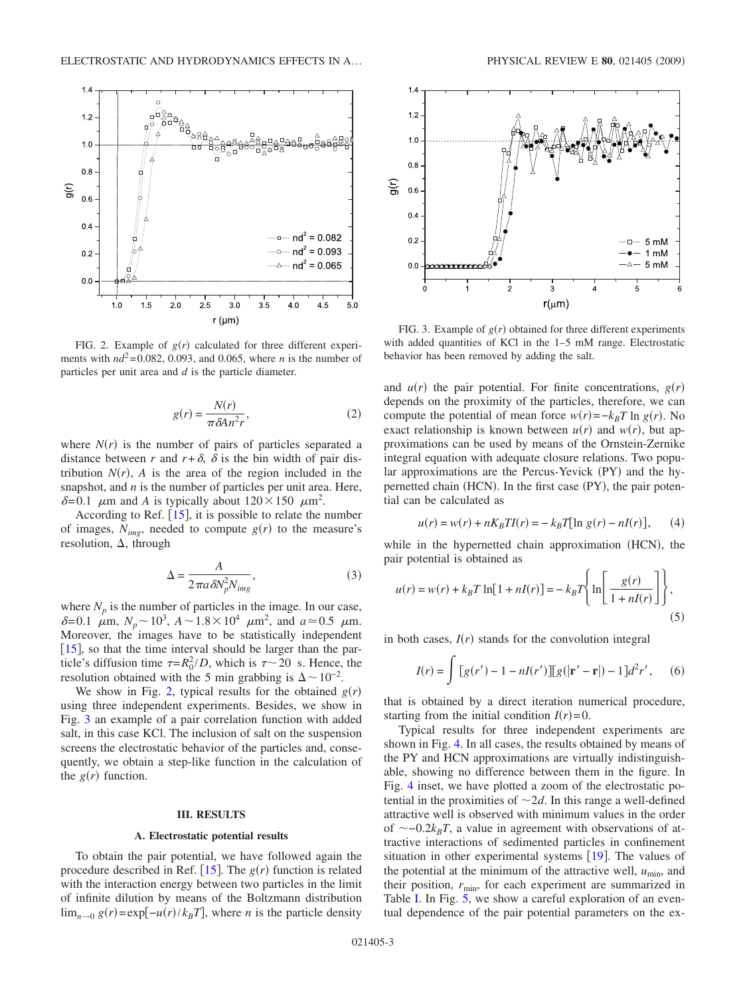<span id="page-2-1"></span>

FIG. 2. Example of  $g(r)$  calculated for three different experiments with  $nd^2=0.082$ , 0.093, and 0.065, where *n* is the number of particles per unit area and *d* is the particle diameter.

$$
g(r) = \frac{N(r)}{\pi \delta A n^2 r},\tag{2}
$$

where  $N(r)$  is the number of pairs of particles separated a distance between *r* and  $r + \delta$ ,  $\delta$  is the bin width of pair distribution  $N(r)$ ,  $\vec{A}$  is the area of the region included in the snapshot, and *n* is the number of particles per unit area. Here,  $\delta$ =0.1  $\mu$ m and *A* is typically about 120×150  $\mu$ m<sup>2</sup>.

According to Ref.  $[15]$  $[15]$  $[15]$ , it is possible to relate the number of images,  $N_{img}$ , needed to compute  $g(r)$  to the measure's resolution,  $\Delta$ , through

$$
\Delta = \frac{A}{2\pi a \delta N_p^2 N_{img}},\tag{3}
$$

where  $N_p$  is the number of particles in the image. In our case,  $\delta = 0.1$   $\mu$ m,  $N_p \sim 10^3$ ,  $A \sim 1.8 \times 10^4$   $\mu$ m<sup>2</sup>, and  $a \approx 0.5$   $\mu$ m. Moreover, the images have to be statistically independent  $[15]$  $[15]$  $[15]$ , so that the time interval should be larger than the particle's diffusion time  $\tau = R_0^2/D$ , which is  $\tau \sim 20$  s. Hence, the resolution obtained with the 5 min grabbing is  $\Delta \sim 10^{-2}$ .

We show in Fig. [2,](#page-2-1) typical results for the obtained  $g(r)$ using three independent experiments. Besides, we show in Fig. [3](#page-2-2) an example of a pair correlation function with added salt, in this case KCl. The inclusion of salt on the suspension screens the electrostatic behavior of the particles and, consequently, we obtain a step-like function in the calculation of the  $g(r)$  function.

## **III. RESULTS**

#### **A. Electrostatic potential results**

<span id="page-2-0"></span>To obtain the pair potential, we have followed again the procedure described in Ref.  $[15]$  $[15]$  $[15]$ . The  $g(r)$  function is related with the interaction energy between two particles in the limit of infinite dilution by means of the Boltzmann distribution  $\lim_{n\to 0} g(r) = \exp[-u(r)/k_B T]$ , where *n* is the particle density

<span id="page-2-2"></span>

FIG. 3. Example of  $g(r)$  obtained for three different experiments with added quantities of KCl in the 1–5 mM range. Electrostatic behavior has been removed by adding the salt.

and  $u(r)$  the pair potential. For finite concentrations,  $g(r)$ depends on the proximity of the particles, therefore, we can compute the potential of mean force  $w(r) = -k_B T \ln g(r)$ . No exact relationship is known between  $u(r)$  and  $w(r)$ , but approximations can be used by means of the Ornstein-Zernike integral equation with adequate closure relations. Two popular approximations are the Percus-Yevick (PY) and the hypernetted chain (HCN). In the first case (PY), the pair potential can be calculated as

$$
u(r) = w(r) + nK_B T I(r) = -k_B T [\ln g(r) - nI(r)], \qquad (4)
$$

<span id="page-2-3"></span>while in the hypernetted chain approximation (HCN), the pair potential is obtained as

$$
u(r) = w(r) + k_B T \ln[1 + nI(r)] = -k_B T \left\{ \ln \left[ \frac{g(r)}{1 + nI(r)} \right] \right\},\tag{5}
$$

in both cases,  $I(r)$  stands for the convolution integral

$$
I(r) = \int [g(r') - 1 - nI(r')] [g(|\mathbf{r}' - \mathbf{r}|) - 1] d^2r', \quad (6)
$$

that is obtained by a direct iteration numerical procedure, starting from the initial condition  $I(r)=0$ .

Typical results for three independent experiments are shown in Fig. [4.](#page-3-0) In all cases, the results obtained by means of the PY and HCN approximations are virtually indistinguishable, showing no difference between them in the figure. In Fig. [4](#page-3-0) inset, we have plotted a zoom of the electrostatic potential in the proximities of  $\sim 2d$ . In this range a well-defined attractive well is observed with minimum values in the order of  $\sim$ -0.2 $k_B T$ , a value in agreement with observations of attractive interactions of sedimented particles in confinement situation in other experimental systems  $[19]$  $[19]$  $[19]$ . The values of the potential at the minimum of the attractive well,  $u_{\text{min}}$ , and their position,  $r_{\text{min}}$ , for each experiment are summarized in Table [I.](#page-3-1) In Fig. [5,](#page-4-0) we show a careful exploration of an eventual dependence of the pair potential parameters on the ex-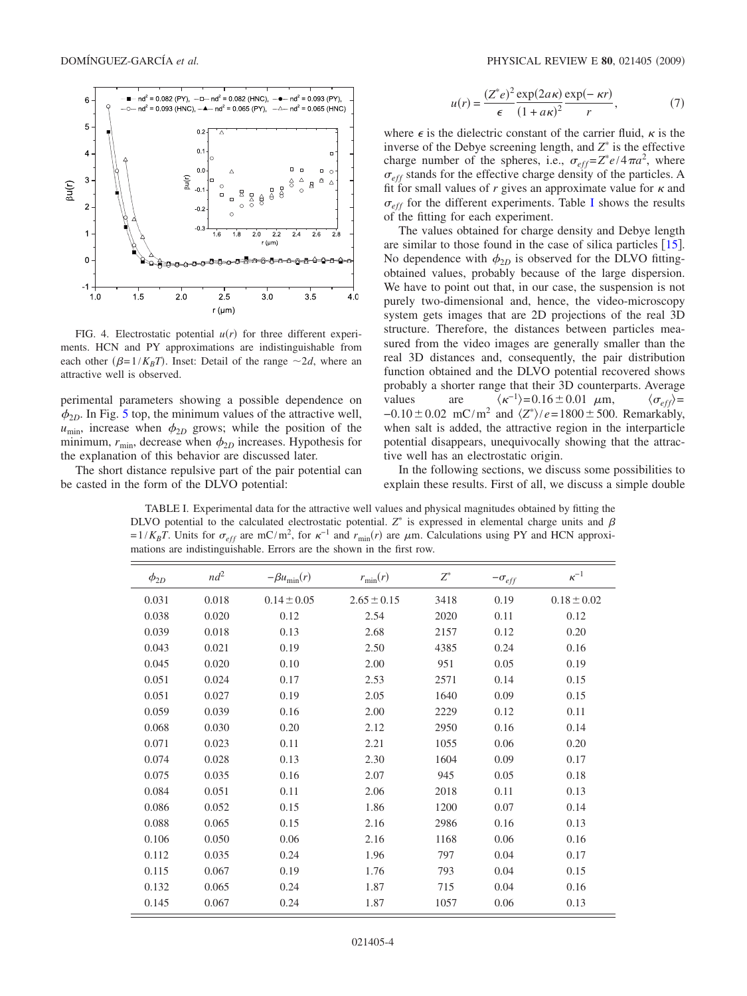<span id="page-3-0"></span>

FIG. 4. Electrostatic potential  $u(r)$  for three different experiments. HCN and PY approximations are indistinguishable from each other  $(\beta = 1/K_B T)$ . Inset: Detail of the range  $\sim 2d$ , where an attractive well is observed.

perimental parameters showing a possible dependence on  $\phi_{2D}$ . In Fig. [5](#page-4-0) top, the minimum values of the attractive well,  $u_{\text{min}}$ , increase when  $\phi_{2D}$  grows; while the position of the minimum,  $r_{\text{min}}$ , decrease when  $\phi_{2D}$  increases. Hypothesis for the explanation of this behavior are discussed later.

<span id="page-3-1"></span>The short distance repulsive part of the pair potential can be casted in the form of the DLVO potential:

$$
u(r) = \frac{(Z^*e)^2}{\epsilon} \frac{\exp(2a\kappa)}{(1+a\kappa)^2} \frac{\exp(-\kappa r)}{r},\tag{7}
$$

<span id="page-3-2"></span>where  $\epsilon$  is the dielectric constant of the carrier fluid,  $\kappa$  is the inverse of the Debye screening length, and  $Z^*$  is the effective charge number of the spheres, i.e.,  $\sigma_{eff} = Z^* e/4 \pi a^2$ , where  $\sigma_{eff}$  stands for the effective charge density of the particles. A fit for small values of  $r$  gives an approximate value for  $\kappa$  and  $\sigma_{eff}$  for the different experiments. Table [I](#page-3-1) shows the results of the fitting for each experiment.

The values obtained for charge density and Debye length are similar to those found in the case of silica particles  $[15]$  $[15]$  $[15]$ . No dependence with  $\phi_{2D}$  is observed for the DLVO fittingobtained values, probably because of the large dispersion. We have to point out that, in our case, the suspension is not purely two-dimensional and, hence, the video-microscopy system gets images that are 2D projections of the real 3D structure. Therefore, the distances between particles measured from the video images are generally smaller than the real 3D distances and, consequently, the pair distribution function obtained and the DLVO potential recovered shows probably a shorter range that their 3D counterparts. Average values are  $\langle \kappa^{-1} \rangle = 0.16 \pm 0.01 \mu \text{m}, \qquad \langle \sigma_{eff} \rangle =$  $-0.10 \pm 0.02$  mC/m<sup>2</sup> and  $\langle Z^* \rangle / e = 1800 \pm 500$ . Remarkably, when salt is added, the attractive region in the interparticle potential disappears, unequivocally showing that the attractive well has an electrostatic origin.

In the following sections, we discuss some possibilities to explain these results. First of all, we discuss a simple double

TABLE I. Experimental data for the attractive well values and physical magnitudes obtained by fitting the DLVO potential to the calculated electrostatic potential.  $Z^*$  is expressed in elemental charge units and  $\beta$  $=1/K_BT$ . Units for  $\sigma_{eff}$  are mC/m<sup>2</sup>, for  $\kappa^{-1}$  and  $r_{min}(r)$  are  $\mu$ m. Calculations using PY and HCN approximations are indistinguishable. Errors are the shown in the first row.

| $\phi_{2D}$ | $nd^2$ | $-\beta u_{\min}(r)$ | $r_{\min}(r)$   | $Z^*$ | $-\sigma_{eff}$ | $\kappa^{-1}$   |
|-------------|--------|----------------------|-----------------|-------|-----------------|-----------------|
| 0.031       | 0.018  | $0.14 \pm 0.05$      | $2.65 \pm 0.15$ | 3418  | 0.19            | $0.18 \pm 0.02$ |
| 0.038       | 0.020  | 0.12                 | 2.54            | 2020  | 0.11            | 0.12            |
| 0.039       | 0.018  | 0.13                 | 2.68            | 2157  | 0.12            | 0.20            |
| 0.043       | 0.021  | 0.19                 | 2.50            | 4385  | 0.24            | 0.16            |
| 0.045       | 0.020  | 0.10                 | 2.00            | 951   | 0.05            | 0.19            |
| 0.051       | 0.024  | 0.17                 | 2.53            | 2571  | 0.14            | 0.15            |
| 0.051       | 0.027  | 0.19                 | 2.05            | 1640  | 0.09            | 0.15            |
| 0.059       | 0.039  | 0.16                 | 2.00            | 2229  | 0.12            | 0.11            |
| 0.068       | 0.030  | 0.20                 | 2.12            | 2950  | 0.16            | 0.14            |
| 0.071       | 0.023  | 0.11                 | 2.21            | 1055  | 0.06            | 0.20            |
| 0.074       | 0.028  | 0.13                 | 2.30            | 1604  | 0.09            | 0.17            |
| 0.075       | 0.035  | 0.16                 | 2.07            | 945   | 0.05            | 0.18            |
| 0.084       | 0.051  | 0.11                 | 2.06            | 2018  | 0.11            | 0.13            |
| 0.086       | 0.052  | 0.15                 | 1.86            | 1200  | 0.07            | 0.14            |
| 0.088       | 0.065  | 0.15                 | 2.16            | 2986  | 0.16            | 0.13            |
| 0.106       | 0.050  | 0.06                 | 2.16            | 1168  | 0.06            | 0.16            |
| 0.112       | 0.035  | 0.24                 | 1.96            | 797   | 0.04            | 0.17            |
| 0.115       | 0.067  | 0.19                 | 1.76            | 793   | 0.04            | 0.15            |
| 0.132       | 0.065  | 0.24                 | 1.87            | 715   | 0.04            | 0.16            |
| 0.145       | 0.067  | 0.24                 | 1.87            | 1057  | 0.06            | 0.13            |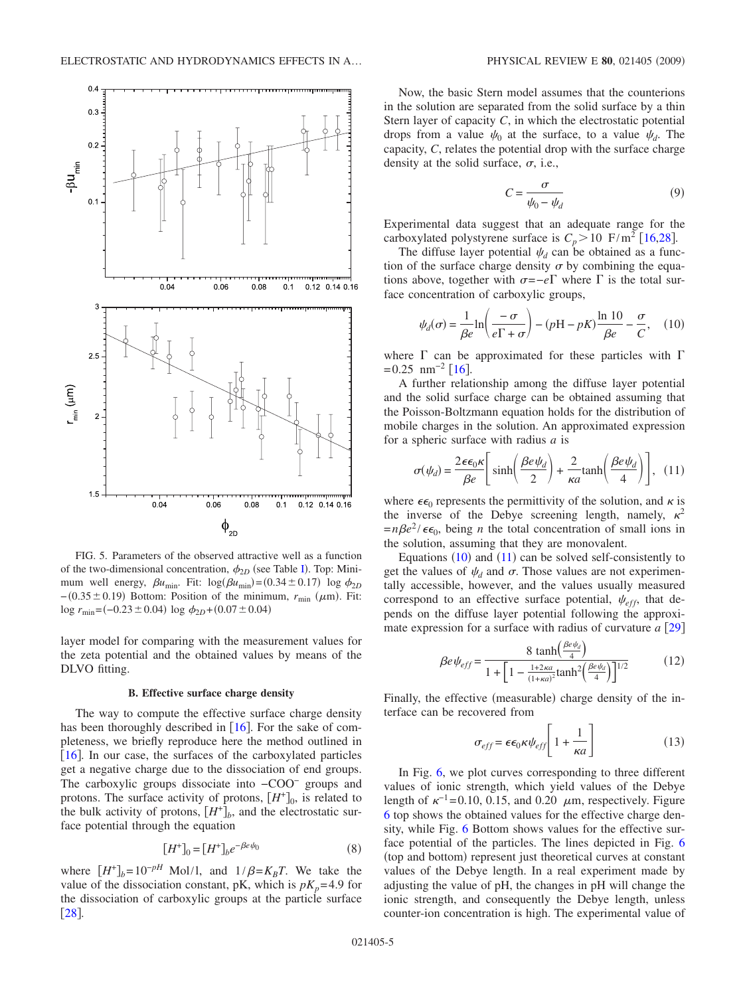<span id="page-4-0"></span>

FIG. 5. Parameters of the observed attractive well as a function of the two-dimensional concentration,  $\phi_{2D}$  (see Table [I](#page-3-1)). Top: Minimum well energy,  $\beta u_{\text{min}}$ . Fit:  $\log(\beta u_{\text{min}}) = (0.34 \pm 0.17) \log \phi_{2D}$  $-(0.35 \pm 0.19)$  Bottom: Position of the minimum,  $r_{\text{min}}$  ( $\mu$ m). Fit:  $\log r_{\text{min}} = (-0.23 \pm 0.04) \log \phi_{2D} + (0.07 \pm 0.04)$ 

layer model for comparing with the measurement values for the zeta potential and the obtained values by means of the DLVO fitting.

#### **B. Effective surface charge density**

The way to compute the effective surface charge density has been thoroughly described in  $[16]$  $[16]$  $[16]$ . For the sake of completeness, we briefly reproduce here the method outlined in  $[16]$  $[16]$  $[16]$ . In our case, the surfaces of the carboxylated particles get a negative charge due to the dissociation of end groups. The carboxylic groups dissociate into −COO− groups and protons. The surface activity of protons,  $[H^+]_0$ , is related to the bulk activity of protons,  $[H^+]_b$ , and the electrostatic surface potential through the equation

$$
[H^+]_0 = [H^+]_{b} e^{-\beta e \psi_0}
$$
 (8)

where  $[H^+]_b = 10^{-pH}$  Mol/1, and  $1/\beta = K_B T$ . We take the value of the dissociation constant, pK, which is  $pK_p = 4.9$  for the dissociation of carboxylic groups at the particle surface  $\left[28\right]$  $\left[28\right]$  $\left[28\right]$ .

Now, the basic Stern model assumes that the counterions in the solution are separated from the solid surface by a thin Stern layer of capacity *C*, in which the electrostatic potential drops from a value  $\psi_0$  at the surface, to a value  $\psi_d$ . The capacity, *C*, relates the potential drop with the surface charge density at the solid surface,  $\sigma$ , i.e.,

$$
C = \frac{\sigma}{\psi_0 - \psi_d} \tag{9}
$$

Experimental data suggest that an adequate range for the carboxylated polystyrene surface is  $C_p > 10$  F/m<sup>2</sup> [[16,](#page-8-10)[28](#page-8-21)].

The diffuse layer potential  $\psi_d$  can be obtained as a function of the surface charge density  $\sigma$  by combining the equations above, together with  $\sigma = -e\Gamma$  where  $\Gamma$  is the total surface concentration of carboxylic groups,

<span id="page-4-1"></span>
$$
\psi_d(\sigma) = \frac{1}{\beta e} \ln \left( \frac{-\sigma}{e \Gamma + \sigma} \right) - (pH - pK) \frac{\ln 10}{\beta e} - \frac{\sigma}{C}, \quad (10)
$$

where  $\Gamma$  can be approximated for these particles with  $\Gamma$  $=0.25$  nm<sup>-2</sup> [[16](#page-8-10)].

A further relationship among the diffuse layer potential and the solid surface charge can be obtained assuming that the Poisson-Boltzmann equation holds for the distribution of mobile charges in the solution. An approximated expression for a spheric surface with radius *a* is

<span id="page-4-2"></span>
$$
\sigma(\psi_d) = \frac{2\epsilon\epsilon_0 \kappa}{\beta e} \left[ \sinh\left(\frac{\beta e \psi_d}{2}\right) + \frac{2}{\kappa a} \tanh\left(\frac{\beta e \psi_d}{4}\right) \right], \quad (11)
$$

where  $\epsilon_0$  represents the permittivity of the solution, and  $\kappa$  is the inverse of the Debye screening length, namely,  $\kappa^2$  $=n\beta e^2/\epsilon\epsilon_0$ , being *n* the total concentration of small ions in the solution, assuming that they are monovalent.

Equations  $(10)$  $(10)$  $(10)$  and  $(11)$  $(11)$  $(11)$  can be solved self-consistently to get the values of  $\psi_d$  and  $\sigma$ . Those values are not experimentally accessible, however, and the values usually measured correspond to an effective surface potential,  $\psi_{eff}$ , that depends on the diffuse layer potential following the approximate expression for a surface with radius of curvature  $a \, \lceil 29 \rceil$  $a \, \lceil 29 \rceil$  $a \, \lceil 29 \rceil$ 

$$
\beta e \psi_{eff} = \frac{8 \tanh\left(\frac{\beta e \psi_d}{4}\right)}{1 + \left[1 - \frac{1 + 2\kappa a}{(1 + \kappa a)^2} \tanh^2\left(\frac{\beta e \psi_d}{4}\right)\right]^{1/2}}
$$
(12)

Finally, the effective (measurable) charge density of the interface can be recovered from

$$
\sigma_{eff} = \epsilon \epsilon_0 \kappa \psi_{eff} \left[ 1 + \frac{1}{\kappa a} \right] \tag{13}
$$

In Fig. [6,](#page-5-0) we plot curves corresponding to three different values of ionic strength, which yield values of the Debye length of  $\kappa^{-1}$ =0.10, 0.15, and 0.20  $\mu$ m, respectively. Figure [6](#page-5-0) top shows the obtained values for the effective charge density, while Fig. [6](#page-5-0) Bottom shows values for the effective surface potential of the particles. The lines depicted in Fig. [6](#page-5-0) (top and bottom) represent just theoretical curves at constant values of the Debye length. In a real experiment made by adjusting the value of pH, the changes in pH will change the ionic strength, and consequently the Debye length, unless counter-ion concentration is high. The experimental value of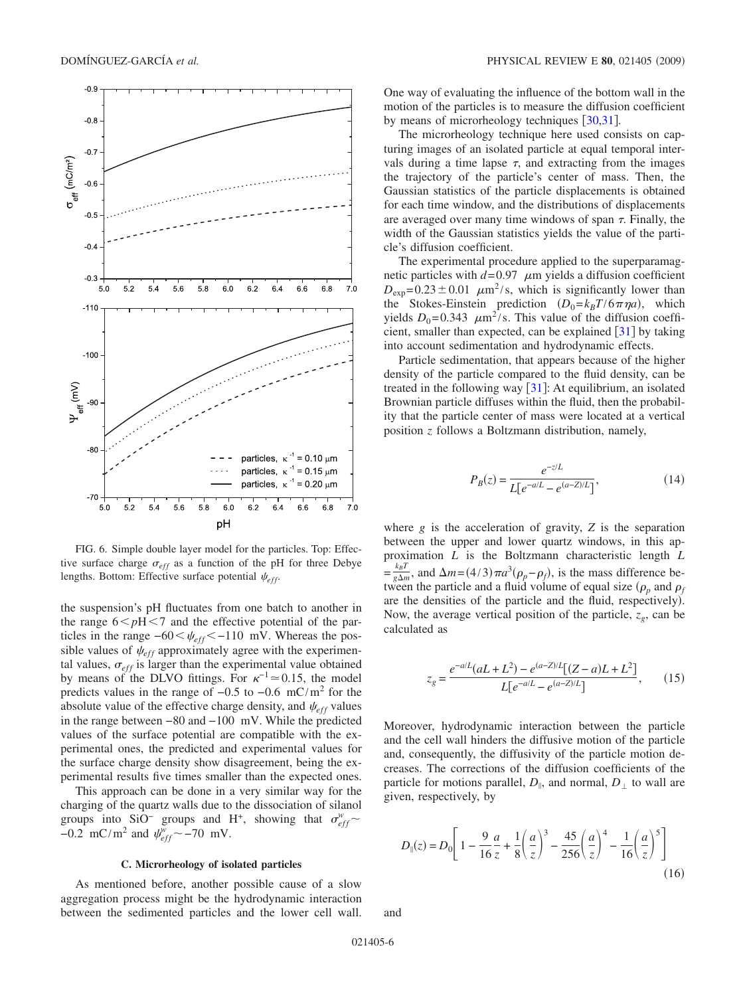<span id="page-5-0"></span>

FIG. 6. Simple double layer model for the particles. Top: Effective surface charge  $\sigma_{eff}$  as a function of the pH for three Debye lengths. Bottom: Effective surface potential  $\psi_{eff}$ .

the suspension's pH fluctuates from one batch to another in the range  $6 < pH < 7$  and the effective potential of the particles in the range  $-60 < \psi_{eff} < -110$  mV. Whereas the possible values of  $\psi_{eff}$  approximately agree with the experimental values,  $\sigma_{eff}$  is larger than the experimental value obtained by means of the DLVO fittings. For  $\kappa^{-1} \approx 0.15$ , the model predicts values in the range of −0.5 to −0.6 mC/m<sup>2</sup> for the absolute value of the effective charge density, and  $\psi_{eff}$  values in the range between −80 and −100 mV. While the predicted values of the surface potential are compatible with the experimental ones, the predicted and experimental values for the surface charge density show disagreement, being the experimental results five times smaller than the expected ones.

This approach can be done in a very similar way for the charging of the quartz walls due to the dissociation of silanol groups into SiO<sup>−</sup> groups and H<sup>+</sup>, showing that  $\sigma_{eff}^{w}$  ~ −0.2 mC/m<sup>2</sup> and  $\psi_{eff}^{w}$  ~ −70 mV.

### **C. Microrheology of isolated particles**

As mentioned before, another possible cause of a slow aggregation process might be the hydrodynamic interaction between the sedimented particles and the lower cell wall.

One way of evaluating the influence of the bottom wall in the motion of the particles is to measure the diffusion coefficient by means of microrheology techniques [[30,](#page-8-23)[31](#page-8-24)].

The microrheology technique here used consists on capturing images of an isolated particle at equal temporal intervals during a time lapse  $\tau$ , and extracting from the images the trajectory of the particle's center of mass. Then, the Gaussian statistics of the particle displacements is obtained for each time window, and the distributions of displacements are averaged over many time windows of span  $\tau$ . Finally, the width of the Gaussian statistics yields the value of the particle's diffusion coefficient.

The experimental procedure applied to the superparamagnetic particles with  $d=0.97$   $\mu$ m yields a diffusion coefficient  $D_{\text{exp}}$ =0.23 ± 0.01  $\mu$ m<sup>2</sup>/s, which is significantly lower than the Stokes-Einstein prediction  $(D_0 = k_B T / 6 \pi \eta a)$ , which yields  $D_0$ =0.343  $\mu$ m<sup>2</sup>/s. This value of the diffusion coefficient, smaller than expected, can be explained  $\lceil 31 \rceil$  $\lceil 31 \rceil$  $\lceil 31 \rceil$  by taking into account sedimentation and hydrodynamic effects.

Particle sedimentation, that appears because of the higher density of the particle compared to the fluid density, can be treated in the following way  $\lceil 31 \rceil$  $\lceil 31 \rceil$  $\lceil 31 \rceil$ : At equilibrium, an isolated Brownian particle diffuses within the fluid, then the probability that the particle center of mass were located at a vertical position *z* follows a Boltzmann distribution, namely,

$$
P_B(z) = \frac{e^{-z/L}}{L[e^{-a/L} - e^{(a-Z)/L}]},\tag{14}
$$

where *g* is the acceleration of gravity, *Z* is the separation between the upper and lower quartz windows, in this approximation *L* is the Boltzmann characteristic length *L*  $=\frac{k_B T}{g \Delta m}$ , and  $\Delta m = (4/3) \pi a^3 (\rho_p - \rho_f)$ , is the mass difference between the particle and a fluid volume of equal size  $(\rho_p$  and  $\rho_f$ are the densities of the particle and the fluid, respectively). Now, the average vertical position of the particle,  $z_g$ , can be calculated as

$$
z_g = \frac{e^{-a/L}(aL + L^2) - e^{(a-Z)/L}[(Z-a)L + L^2]}{L[e^{-a/L} - e^{(a-Z)/L}]},\qquad(15)
$$

Moreover, hydrodynamic interaction between the particle and the cell wall hinders the diffusive motion of the particle and, consequently, the diffusivity of the particle motion decreases. The corrections of the diffusion coefficients of the particle for motions parallel,  $D_{\parallel}$ , and normal,  $D_{\perp}$  to wall are given, respectively, by

$$
D_{\parallel}(z) = D_0 \left[ 1 - \frac{9}{16} \frac{a}{z} + \frac{1}{8} \left( \frac{a}{z} \right)^3 - \frac{45}{256} \left( \frac{a}{z} \right)^4 - \frac{1}{16} \left( \frac{a}{z} \right)^5 \right]
$$
(16)

and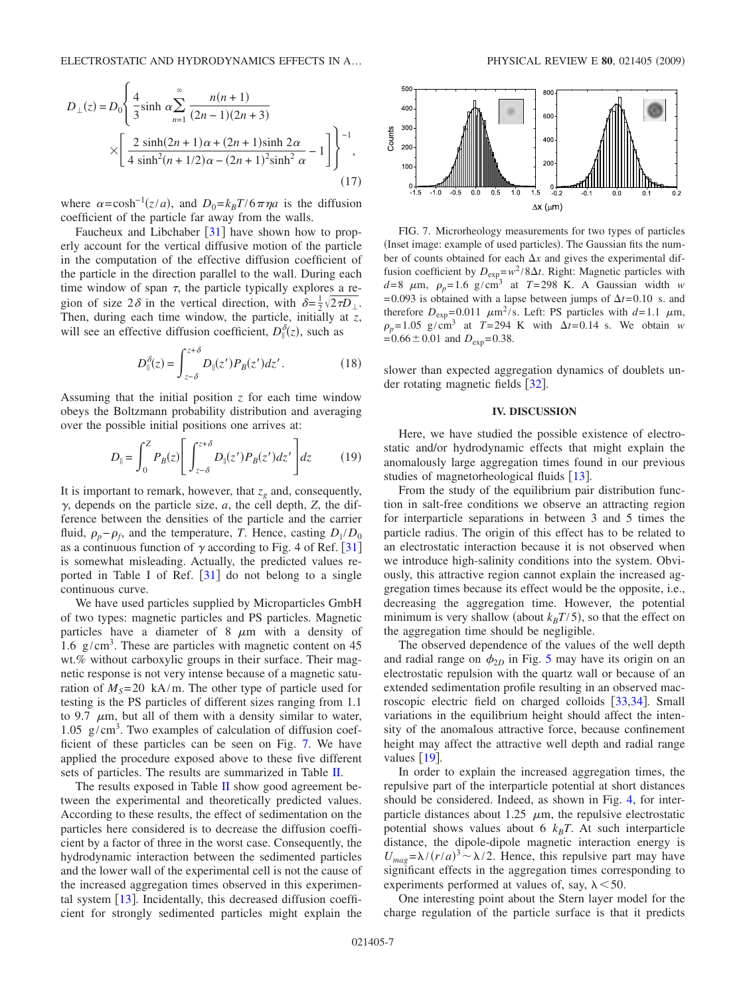$$
D_{\perp}(z) = D_0 \left\{ \frac{4}{3} \sinh \alpha \sum_{n=1}^{\infty} \frac{n(n+1)}{(2n-1)(2n+3)} \right\}
$$

$$
\times \left[ \frac{2 \sinh(2n+1)\alpha + (2n+1)\sinh 2\alpha}{4 \sinh^2(n+1/2)\alpha - (2n+1)^2 \sinh^2 \alpha} - 1 \right] \right\}^{-1},
$$
(17)

where  $\alpha = \cosh^{-1}(z/a)$ , and  $D_0 = k_B T/6\pi\eta a$  is the diffusion coefficient of the particle far away from the walls.

Faucheux and Libchaber  $\lceil 31 \rceil$  $\lceil 31 \rceil$  $\lceil 31 \rceil$  have shown how to properly account for the vertical diffusive motion of the particle in the computation of the effective diffusion coefficient of the particle in the direction parallel to the wall. During each time window of span  $\tau$ , the particle typically explores a region of size  $2\delta$  in the vertical direction, with  $\delta = \frac{1}{2}\sqrt{2\tau D_{\perp}}$ . Then, during each time window, the particle, initially at *z*, will see an effective diffusion coefficient,  $D_{\parallel}^{\delta}(z)$ , such as

$$
D_{\parallel}^{\delta}(z) = \int_{z-\delta}^{z+\delta} D_{\parallel}(z') P_B(z') dz'.
$$
 (18)

Assuming that the initial position *z* for each time window obeys the Boltzmann probability distribution and averaging over the possible initial positions one arrives at:

$$
D_{\parallel} = \int_0^Z P_B(z) \left[ \int_{z-\delta}^{z+\delta} D_{\parallel}(z') P_B(z') dz' \right] dz \tag{19}
$$

It is important to remark, however, that  $z_g$  and, consequently,  $\gamma$ , depends on the particle size,  $a$ , the cell depth,  $Z$ , the difference between the densities of the particle and the carrier fluid,  $\rho_p - \rho_f$ , and the temperature, *T*. Hence, casting  $D_{\parallel}/D_0$ as a continuous function of  $\gamma$  according to Fig. 4 of Ref. [[31](#page-8-24)] is somewhat misleading. Actually, the predicted values reported in Table I of Ref.  $[31]$  $[31]$  $[31]$  do not belong to a single continuous curve.

We have used particles supplied by Microparticles GmbH of two types: magnetic particles and PS particles. Magnetic particles have a diameter of 8  $\mu$ m with a density of 1.6  $g/cm<sup>3</sup>$ . These are particles with magnetic content on 45 wt.% without carboxylic groups in their surface. Their magnetic response is not very intense because of a magnetic saturation of  $M<sub>S</sub>=20$  kA/m. The other type of particle used for testing is the PS particles of different sizes ranging from 1.1 to 9.7  $\mu$ m, but all of them with a density similar to water, 1.05  $g/cm<sup>3</sup>$ . Two examples of calculation of diffusion coefficient of these particles can be seen on Fig. [7.](#page-6-1) We have applied the procedure exposed above to these five different sets of particles. The results are summarized in Table [II.](#page-7-1)

The results exposed in Table [II](#page-7-1) show good agreement between the experimental and theoretically predicted values. According to these results, the effect of sedimentation on the particles here considered is to decrease the diffusion coefficient by a factor of three in the worst case. Consequently, the hydrodynamic interaction between the sedimented particles and the lower wall of the experimental cell is not the cause of the increased aggregation times observed in this experimental system  $\lceil 13 \rceil$  $\lceil 13 \rceil$  $\lceil 13 \rceil$ . Incidentally, this decreased diffusion coefficient for strongly sedimented particles might explain the

<span id="page-6-1"></span>

FIG. 7. Microrheology measurements for two types of particles (Inset image: example of used particles). The Gaussian fits the number of counts obtained for each  $\Delta x$  and gives the experimental diffusion coefficient by  $D_{\text{exp}} = w^2 / 8\Delta t$ . Right: Magnetic particles with  $d=8$   $\mu$ m,  $\rho_p=1.6$  g/cm<sup>3</sup> at  $T=298$  K. A Gaussian width *w* =0.093 is obtained with a lapse between jumps of  $\Delta t$ =0.10 s. and therefore  $D_{exp}$ =0.011  $\mu$ m<sup>2</sup>/s. Left: PS particles with *d*=1.1  $\mu$ m,  $\rho_p = 1.05 \text{ g/cm}^3$  at  $T = 294 \text{ K}$  with  $\Delta t = 0.14 \text{ s}$ . We obtain *w*  $=0.66\pm0.01$  and  $D_{exp}=0.38$ .

slower than expected aggregation dynamics of doublets under rotating magnetic fields  $\lceil 32 \rceil$  $\lceil 32 \rceil$  $\lceil 32 \rceil$ .

# **IV. DISCUSSION**

<span id="page-6-0"></span>Here, we have studied the possible existence of electrostatic and/or hydrodynamic effects that might explain the anomalously large aggregation times found in our previous studies of magnetorheological fluids  $[13]$  $[13]$  $[13]$ .

From the study of the equilibrium pair distribution function in salt-free conditions we observe an attracting region for interparticle separations in between 3 and 5 times the particle radius. The origin of this effect has to be related to an electrostatic interaction because it is not observed when we introduce high-salinity conditions into the system. Obviously, this attractive region cannot explain the increased aggregation times because its effect would be the opposite, i.e., decreasing the aggregation time. However, the potential minimum is very shallow (about  $k_B T/5$ ), so that the effect on the aggregation time should be negligible.

The observed dependence of the values of the well depth and radial range on  $\phi_{2D}$  in Fig. [5](#page-4-0) may have its origin on an electrostatic repulsion with the quartz wall or because of an extended sedimentation profile resulting in an observed mac-roscopic electric field on charged colloids [[33,](#page-8-26)[34](#page-8-27)]. Small variations in the equilibrium height should affect the intensity of the anomalous attractive force, because confinement height may affect the attractive well depth and radial range values  $[19]$  $[19]$  $[19]$ .

In order to explain the increased aggregation times, the repulsive part of the interparticle potential at short distances should be considered. Indeed, as shown in Fig. [4,](#page-3-0) for interparticle distances about 1.25  $\mu$ m, the repulsive electrostatic potential shows values about  $6 \; k_B T$ . At such interparticle distance, the dipole-dipole magnetic interaction energy is  $U_{mag} = \lambda / (r/a)^3$  ~  $\lambda$ /2. Hence, this repulsive part may have significant effects in the aggregation times corresponding to experiments performed at values of, say,  $\lambda$  < 50.

One interesting point about the Stern layer model for the charge regulation of the particle surface is that it predicts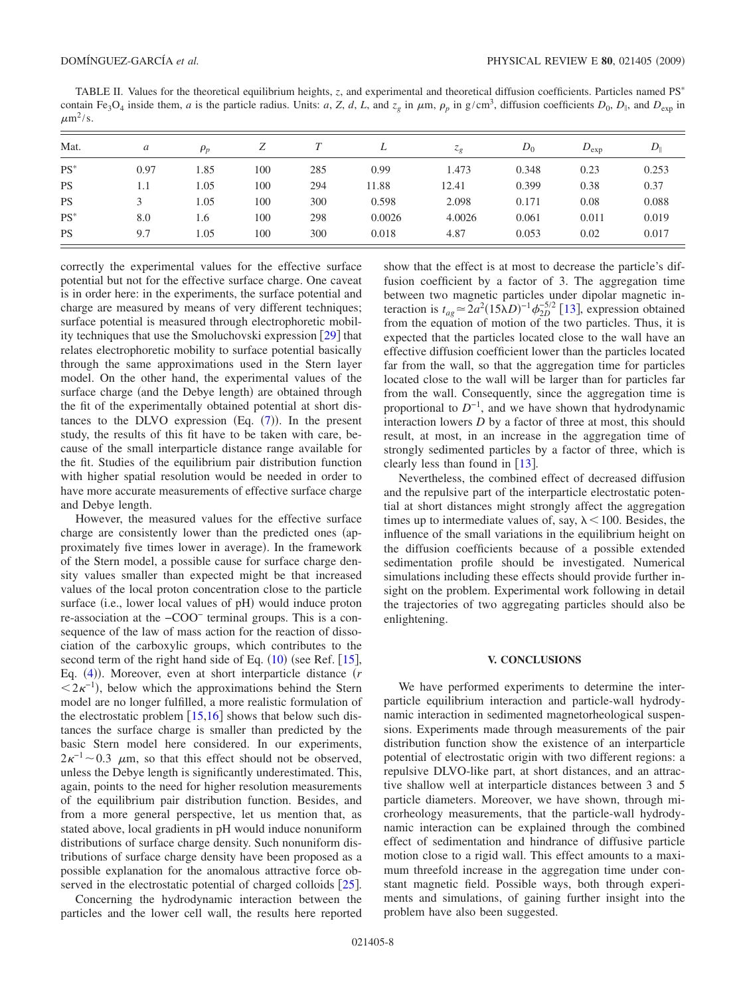<span id="page-7-1"></span>TABLE II. Values for the theoretical equilibrium heights, *z*, and experimental and theoretical diffusion coefficients. Particles named PS contain Fe<sub>3</sub>O<sub>4</sub> inside them, *a* is the particle radius. Units: *a*, *Z*, *d*, *L*, and  $z_g$  in  $\mu$ m,  $\rho_p$  in g/cm<sup>3</sup>, diffusion coefficients  $D_0$ ,  $D_{\parallel}$ , and  $D_{\text{exp}}$  in  $\mu$ m<sup>2</sup>/s.

| Mat.      | a    | $\rho_p$ | Ζ   |     |        | $\sim_{\mathcal{Q}}$ | $D_0$ | $D_{\text{exp}}$ | $D_{\parallel}$ |
|-----------|------|----------|-----|-----|--------|----------------------|-------|------------------|-----------------|
| $PS^*$    | 0.97 | 1.85     | 100 | 285 | 0.99   | 1.473                | 0.348 | 0.23             | 0.253           |
| <b>PS</b> | 1.1  | 1.05     | 100 | 294 | 11.88  | 12.41                | 0.399 | 0.38             | 0.37            |
| <b>PS</b> |      | 1.05     | 100 | 300 | 0.598  | 2.098                | 0.171 | 0.08             | 0.088           |
| $PS^*$    | 8.0  | 1.6      | 100 | 298 | 0.0026 | 4.0026               | 0.061 | 0.011            | 0.019           |
| <b>PS</b> | 9.7  | 1.05     | 100 | 300 | 0.018  | 4.87                 | 0.053 | 0.02             | 0.017           |

correctly the experimental values for the effective surface potential but not for the effective surface charge. One caveat is in order here: in the experiments, the surface potential and charge are measured by means of very different techniques; surface potential is measured through electrophoretic mobility techniques that use the Smoluchovski expression  $\lceil 29 \rceil$  $\lceil 29 \rceil$  $\lceil 29 \rceil$  that relates electrophoretic mobility to surface potential basically through the same approximations used in the Stern layer model. On the other hand, the experimental values of the surface charge (and the Debye length) are obtained through the fit of the experimentally obtained potential at short distances to the DLVO expression  $(Eq. (7))$  $(Eq. (7))$  $(Eq. (7))$ . In the present study, the results of this fit have to be taken with care, because of the small interparticle distance range available for the fit. Studies of the equilibrium pair distribution function with higher spatial resolution would be needed in order to have more accurate measurements of effective surface charge and Debye length.

However, the measured values for the effective surface charge are consistently lower than the predicted ones (approximately five times lower in average). In the framework of the Stern model, a possible cause for surface charge density values smaller than expected might be that increased values of the local proton concentration close to the particle surface (i.e., lower local values of pH) would induce proton re-association at the −COO− terminal groups. This is a consequence of the law of mass action for the reaction of dissociation of the carboxylic groups, which contributes to the second term of the right hand side of Eq.  $(10)$  $(10)$  $(10)$  (see Ref. [[15](#page-8-9)], Eq. ([4](#page-2-3))). Moreover, even at short interparticle distance (*r*  $\langle 2\kappa^{-1} \rangle$ , below which the approximations behind the Stern model are no longer fulfilled, a more realistic formulation of the electrostatic problem  $[15,16]$  $[15,16]$  $[15,16]$  $[15,16]$  shows that below such distances the surface charge is smaller than predicted by the basic Stern model here considered. In our experiments,  $2\kappa^{-1}$ ~0.3  $\mu$ m, so that this effect should not be observed, unless the Debye length is significantly underestimated. This, again, points to the need for higher resolution measurements of the equilibrium pair distribution function. Besides, and from a more general perspective, let us mention that, as stated above, local gradients in pH would induce nonuniform distributions of surface charge density. Such nonuniform distributions of surface charge density have been proposed as a possible explanation for the anomalous attractive force observed in the electrostatic potential of charged colloids  $[25]$  $[25]$  $[25]$ .

Concerning the hydrodynamic interaction between the particles and the lower cell wall, the results here reported show that the effect is at most to decrease the particle's diffusion coefficient by a factor of 3. The aggregation time between two magnetic particles under dipolar magnetic interaction is  $t_{ag} \approx 2a^2(15\lambda D)^{-1}\phi_{2D}^{-5/2}$  [[13](#page-8-7)], expression obtained from the equation of motion of the two particles. Thus, it is expected that the particles located close to the wall have an effective diffusion coefficient lower than the particles located far from the wall, so that the aggregation time for particles located close to the wall will be larger than for particles far from the wall. Consequently, since the aggregation time is proportional to  $D^{-1}$ , and we have shown that hydrodynamic interaction lowers *D* by a factor of three at most, this should result, at most, in an increase in the aggregation time of strongly sedimented particles by a factor of three, which is clearly less than found in  $\lceil 13 \rceil$  $\lceil 13 \rceil$  $\lceil 13 \rceil$ .

Nevertheless, the combined effect of decreased diffusion and the repulsive part of the interparticle electrostatic potential at short distances might strongly affect the aggregation times up to intermediate values of, say,  $\lambda$  < 100. Besides, the influence of the small variations in the equilibrium height on the diffusion coefficients because of a possible extended sedimentation profile should be investigated. Numerical simulations including these effects should provide further insight on the problem. Experimental work following in detail the trajectories of two aggregating particles should also be enlightening.

#### **V. CONCLUSIONS**

<span id="page-7-0"></span>We have performed experiments to determine the interparticle equilibrium interaction and particle-wall hydrodynamic interaction in sedimented magnetorheological suspensions. Experiments made through measurements of the pair distribution function show the existence of an interparticle potential of electrostatic origin with two different regions: a repulsive DLVO-like part, at short distances, and an attractive shallow well at interparticle distances between 3 and 5 particle diameters. Moreover, we have shown, through microrheology measurements, that the particle-wall hydrodynamic interaction can be explained through the combined effect of sedimentation and hindrance of diffusive particle motion close to a rigid wall. This effect amounts to a maximum threefold increase in the aggregation time under constant magnetic field. Possible ways, both through experiments and simulations, of gaining further insight into the problem have also been suggested.